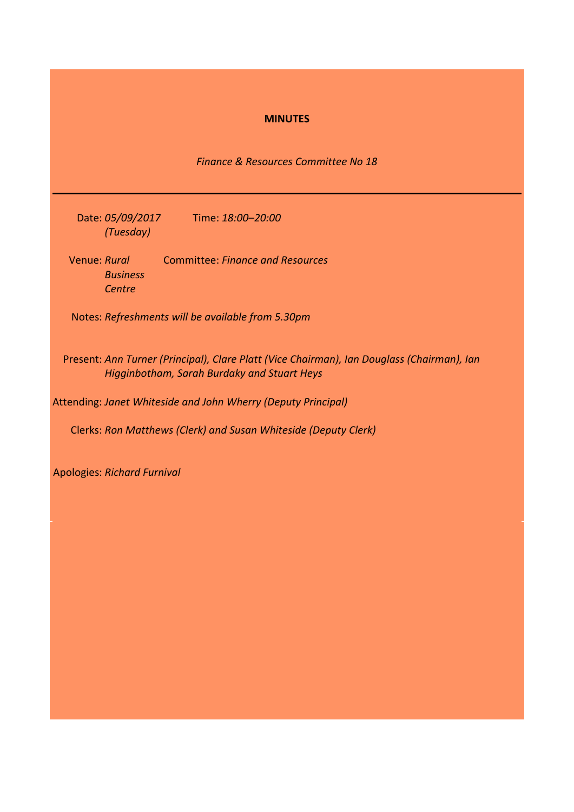## **MINUTES**

*Finance & Resources Committee No 18*

Date: *05/09/2017*  Time: *18:00–20:00 (Tuesday)*

Venue: *Rural Business Centre* Committee: *Finance and Resources*

Notes: *Refreshments will be available from 5.30pm*

Present: *Ann Turner (Principal), Clare Platt (Vice Chairman), Ian Douglass (Chairman), Ian Higginbotham, Sarah Burdaky and Stuart Heys*

Attending: *Janet Whiteside and John Wherry (Deputy Principal)*

Clerks: *Ron Matthews (Clerk) and Susan Whiteside (Deputy Clerk)*

Apologies: *Richard Furnival*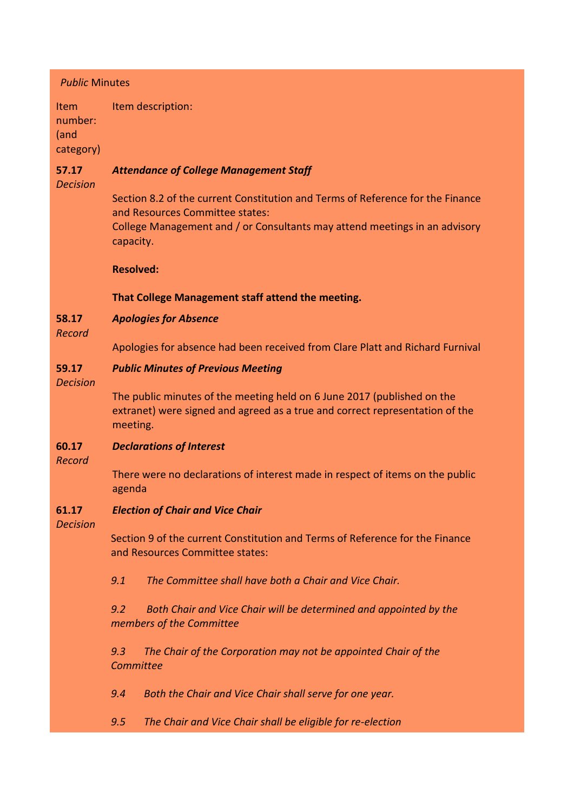## *Public* Minutes

Item number: (and category) Item description:

### **57.17** *Attendance of College Management Staff*

*Decision*

Section 8.2 of the current Constitution and Terms of Reference for the Finance and Resources Committee states:

College Management and / or Consultants may attend meetings in an advisory capacity.

# **Resolved:**

**That College Management staff attend the meeting.**

### **58.17** *Apologies for Absence*

*Record*

Apologies for absence had been received from Clare Platt and Richard Furnival

#### **59.17** *Public Minutes of Previous Meeting*

*Decision*

The public minutes of the meeting held on 6 June 2017 (published on the extranet) were signed and agreed as a true and correct representation of the meeting.

#### **60.17** *Declarations of Interest*

*Record*

There were no declarations of interest made in respect of items on the public agenda

#### **61.17** *Election of Chair and Vice Chair*

*Decision*

Section 9 of the current Constitution and Terms of Reference for the Finance and Resources Committee states:

*9.1 The Committee shall have both a Chair and Vice Chair.*

*9.2 Both Chair and Vice Chair will be determined and appointed by the members of the Committee*

*9.3 The Chair of the Corporation may not be appointed Chair of the Committee*

*9.4 Both the Chair and Vice Chair shall serve for one year.*

*9.5 The Chair and Vice Chair shall be eligible for re-election*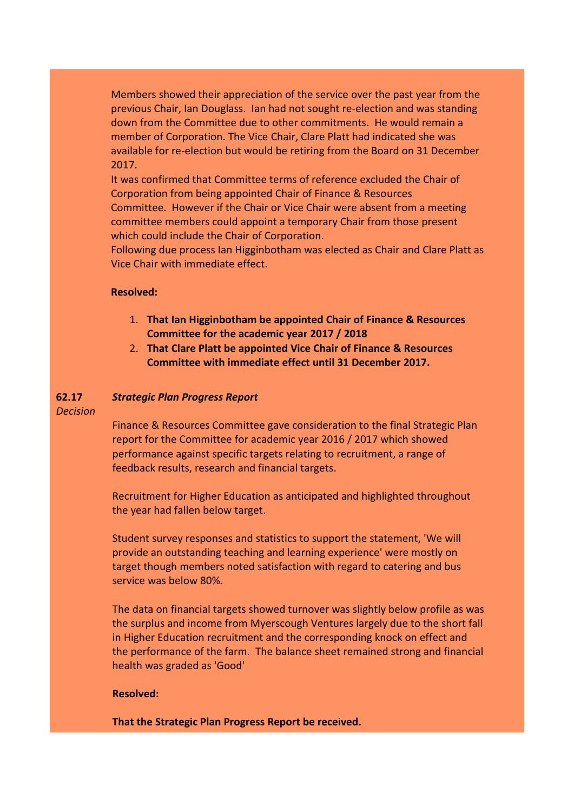Members showed their appreciation of the service over the past year from the previous Chair, Ian Douglass. Ian had not sought re-election and was standing down from the Committee due to other commitments. He would remain a member of Corporation. The Vice Chair, Clare Platt had indicated she was available for re-election but would be retiring from the Board on 31 December 2017.

It was confirmed that Committee terms of reference excluded the Chair of Corporation from being appointed Chair of Finance & Resources Committee. However if the Chair or Vice Chair were absent from a meeting committee members could appoint a temporary Chair from those present which could include the Chair of Corporation.

Following due process Ian Higginbotham was elected as Chair and Clare Platt as Vice Chair with immediate effect.

## **Resolved:**

- 1. **That Ian Higginbotham be appointed Chair of Finance & Resources Committee for the academic year 2017 / 2018**
- 2. **That Clare Platt be appointed Vice Chair of Finance & Resources Committee with immediate effect until 31 December 2017.**

### **62.17** *Strategic Plan Progress Report*

*Decision*

Finance & Resources Committee gave consideration to the final Strategic Plan report for the Committee for academic year 2016 / 2017 which showed performance against specific targets relating to recruitment, a range of feedback results, research and financial targets.

Recruitment for Higher Education as anticipated and highlighted throughout the year had fallen below target.

Student survey responses and statistics to support the statement, 'We will provide an outstanding teaching and learning experience' were mostly on target though members noted satisfaction with regard to catering and bus service was below 80%.

The data on financial targets showed turnover was slightly below profile as was the surplus and income from Myerscough Ventures largely due to the short fall in Higher Education recruitment and the corresponding knock on effect and the performance of the farm. The balance sheet remained strong and financial health was graded as 'Good'

## **Resolved:**

**That the Strategic Plan Progress Report be received.**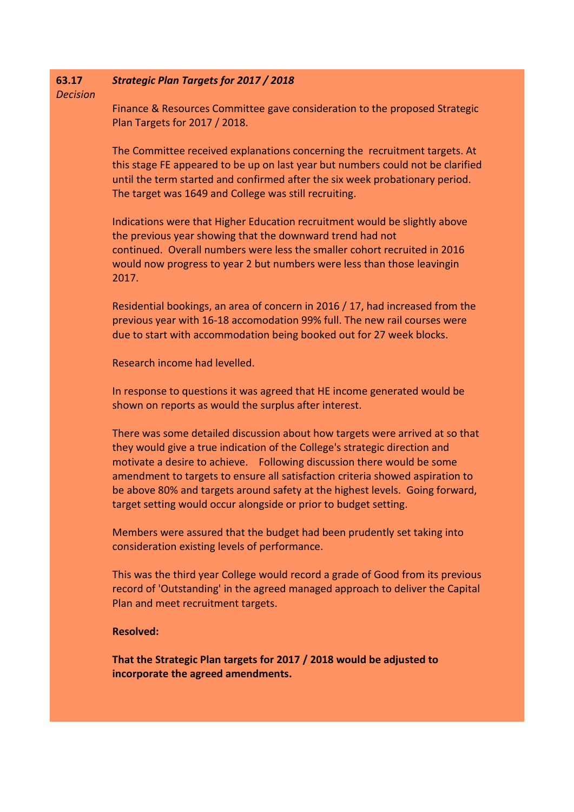| 63.17<br><b>Decision</b> | <b>Strategic Plan Targets for 2017 / 2018</b>                                                                                                                                                                                                                                                                                                                                                                                                                             |
|--------------------------|---------------------------------------------------------------------------------------------------------------------------------------------------------------------------------------------------------------------------------------------------------------------------------------------------------------------------------------------------------------------------------------------------------------------------------------------------------------------------|
|                          | Finance & Resources Committee gave consideration to the proposed Strategic<br>Plan Targets for 2017 / 2018.                                                                                                                                                                                                                                                                                                                                                               |
|                          | The Committee received explanations concerning the recruitment targets. At<br>this stage FE appeared to be up on last year but numbers could not be clarified<br>until the term started and confirmed after the six week probationary period.<br>The target was 1649 and College was still recruiting.                                                                                                                                                                    |
|                          | Indications were that Higher Education recruitment would be slightly above<br>the previous year showing that the downward trend had not<br>continued. Overall numbers were less the smaller cohort recruited in 2016<br>would now progress to year 2 but numbers were less than those leavingin<br>2017.                                                                                                                                                                  |
|                          | Residential bookings, an area of concern in 2016 / 17, had increased from the<br>previous year with 16-18 accomodation 99% full. The new rail courses were<br>due to start with accommodation being booked out for 27 week blocks.                                                                                                                                                                                                                                        |
|                          | Research income had levelled.                                                                                                                                                                                                                                                                                                                                                                                                                                             |
|                          | In response to questions it was agreed that HE income generated would be<br>shown on reports as would the surplus after interest.                                                                                                                                                                                                                                                                                                                                         |
|                          | There was some detailed discussion about how targets were arrived at so that<br>they would give a true indication of the College's strategic direction and<br>motivate a desire to achieve. Following discussion there would be some<br>amendment to targets to ensure all satisfaction criteria showed aspiration to<br>be above 80% and targets around safety at the highest levels. Going forward,<br>target setting would occur alongside or prior to budget setting. |
|                          | Members were assured that the budget had been prudently set taking into<br>consideration existing levels of performance.                                                                                                                                                                                                                                                                                                                                                  |
|                          | This was the third year College would record a grade of Good from its previous<br>record of 'Outstanding' in the agreed managed approach to deliver the Capital<br>Plan and meet recruitment targets.                                                                                                                                                                                                                                                                     |
|                          | <b>Resolved:</b>                                                                                                                                                                                                                                                                                                                                                                                                                                                          |

**That the Strategic Plan targets for 2017 / 2018 would be adjusted to incorporate the agreed amendments.**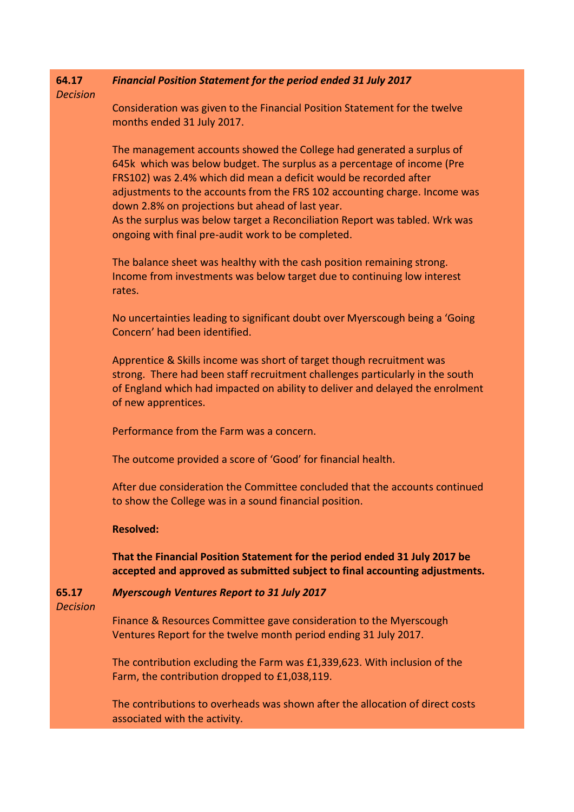### **64.17** *Financial Position Statement for the period ended 31 July 2017*

*Decision*

Consideration was given to the Financial Position Statement for the twelve months ended 31 July 2017.

The management accounts showed the College had generated a surplus of 645k which was below budget. The surplus as a percentage of income (Pre FRS102) was 2.4% which did mean a deficit would be recorded after adjustments to the accounts from the FRS 102 accounting charge. Income was down 2.8% on projections but ahead of last year.

As the surplus was below target a Reconciliation Report was tabled. Wrk was ongoing with final pre-audit work to be completed.

The balance sheet was healthy with the cash position remaining strong. Income from investments was below target due to continuing low interest rates.

No uncertainties leading to significant doubt over Myerscough being a 'Going Concern' had been identified.

Apprentice & Skills income was short of target though recruitment was strong. There had been staff recruitment challenges particularly in the south of England which had impacted on ability to deliver and delayed the enrolment of new apprentices.

Performance from the Farm was a concern.

The outcome provided a score of 'Good' for financial health.

After due consideration the Committee concluded that the accounts continued to show the College was in a sound financial position.

### **Resolved:**

**That the Financial Position Statement for the period ended 31 July 2017 be accepted and approved as submitted subject to final accounting adjustments.**

#### **65.17** *Myerscough Ventures Report to 31 July 2017*

*Decision*

Finance & Resources Committee gave consideration to the Myerscough Ventures Report for the twelve month period ending 31 July 2017.

The contribution excluding the Farm was £1,339,623. With inclusion of the Farm, the contribution dropped to £1,038,119.

The contributions to overheads was shown after the allocation of direct costs associated with the activity.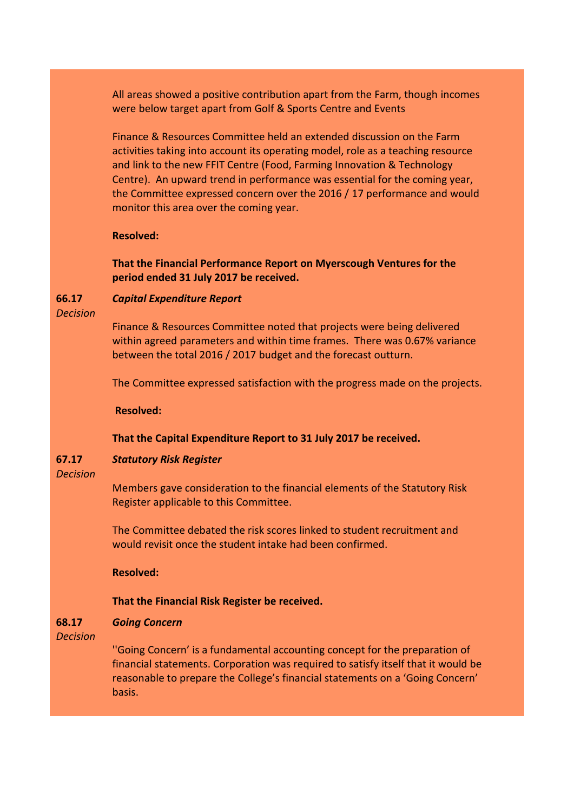All areas showed a positive contribution apart from the Farm, though incomes were below target apart from Golf & Sports Centre and Events

Finance & Resources Committee held an extended discussion on the Farm activities taking into account its operating model, role as a teaching resource and link to the new FFIT Centre (Food, Farming Innovation & Technology Centre). An upward trend in performance was essential for the coming year, the Committee expressed concern over the 2016 / 17 performance and would monitor this area over the coming year.

### **Resolved:**

**That the Financial Performance Report on Myerscough Ventures for the period ended 31 July 2017 be received.**

#### **66.17** *Capital Expenditure Report*

*Decision*

Finance & Resources Committee noted that projects were being delivered within agreed parameters and within time frames. There was 0.67% variance between the total 2016 / 2017 budget and the forecast outturn.

The Committee expressed satisfaction with the progress made on the projects.

**Resolved:**

## **That the Capital Expenditure Report to 31 July 2017 be received.**

### **67.17** *Statutory Risk Register*

### *Decision*

Members gave consideration to the financial elements of the Statutory Risk Register applicable to this Committee.

The Committee debated the risk scores linked to student recruitment and would revisit once the student intake had been confirmed.

**Resolved:**

### **That the Financial Risk Register be received.**

### **68.17** *Going Concern*

*Decision*

''Going Concern' is a fundamental accounting concept for the preparation of financial statements. Corporation was required to satisfy itself that it would be reasonable to prepare the College's financial statements on a 'Going Concern' basis.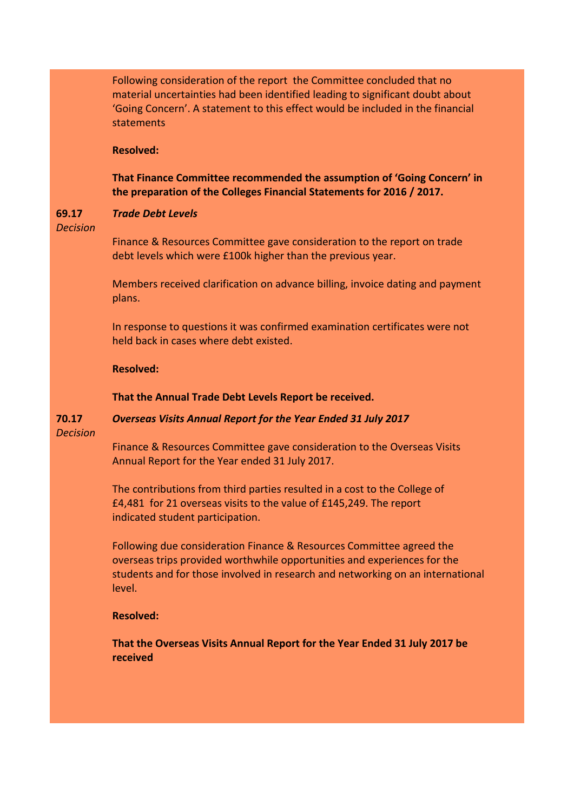Following consideration of the report the Committee concluded that no material uncertainties had been identified leading to significant doubt about 'Going Concern'. A statement to this effect would be included in the financial statements

## **Resolved:**

# **That Finance Committee recommended the assumption of 'Going Concern' in the preparation of the Colleges Financial Statements for 2016 / 2017.**

#### **69.17** *Trade Debt Levels*

*Decision*

Finance & Resources Committee gave consideration to the report on trade debt levels which were £100k higher than the previous year.

Members received clarification on advance billing, invoice dating and payment plans.

In response to questions it was confirmed examination certificates were not held back in cases where debt existed.

### **Resolved:**

## **That the Annual Trade Debt Levels Report be received.**

### **70.17** *Overseas Visits Annual Report for the Year Ended 31 July 2017*

*Decision*

Finance & Resources Committee gave consideration to the Overseas Visits Annual Report for the Year ended 31 July 2017.

The contributions from third parties resulted in a cost to the College of £4,481 for 21 overseas visits to the value of £145,249. The report indicated student participation.

Following due consideration Finance & Resources Committee agreed the overseas trips provided worthwhile opportunities and experiences for the students and for those involved in research and networking on an international level.

# **Resolved:**

**That the Overseas Visits Annual Report for the Year Ended 31 July 2017 be received**